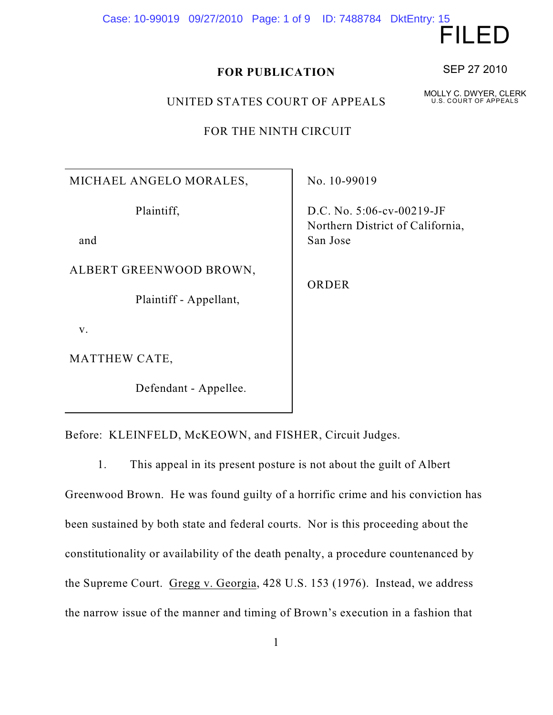Case: 10-99019 09/27/2010 Page: 1 of 9 ID: 7488784 DktEntry: 15

**FOR PUBLICATION**

UNITED STATES COURT OF APPEALS

FOR THE NINTH CIRCUIT

MICHAEL ANGELO MORALES,

Plaintiff,

and

ALBERT GREENWOOD BROWN,

Plaintiff - Appellant,

v.

MATTHEW CATE,

Defendant - Appellee.

No. 10-99019

D.C. No. 5:06-cv-00219-JF Northern District of California, San Jose

ORDER

Before: KLEINFELD, McKEOWN, and FISHER, Circuit Judges.

1. This appeal in its present posture is not about the guilt of Albert Greenwood Brown. He was found guilty of a horrific crime and his conviction has been sustained by both state and federal courts. Nor is this proceeding about the constitutionality or availability of the death penalty, a procedure countenanced by the Supreme Court. Gregg v. Georgia, 428 U.S. 153 (1976). Instead, we address the narrow issue of the manner and timing of Brown's execution in a fashion that

SEP 27 2010

FILED

MOLLY C. DWYER, CLERK U.S. COURT OF APPEALS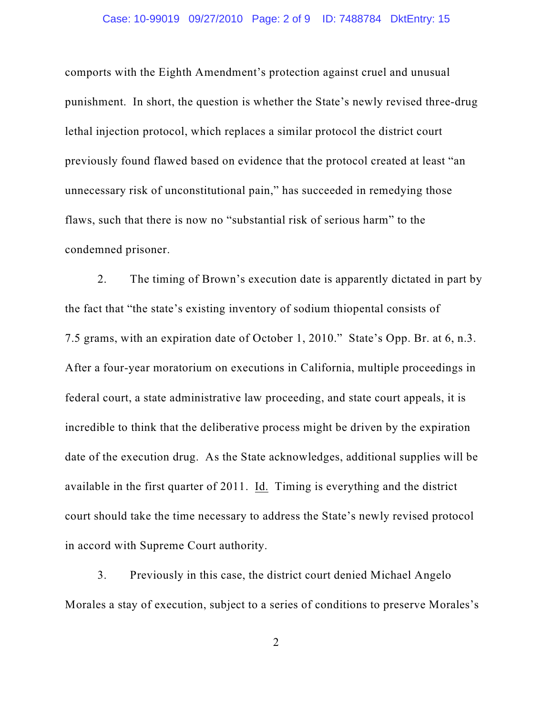#### Case: 10-99019 09/27/2010 Page: 2 of 9 ID: 7488784 DktEntry: 15

comports with the Eighth Amendment's protection against cruel and unusual punishment. In short, the question is whether the State's newly revised three-drug lethal injection protocol, which replaces a similar protocol the district court previously found flawed based on evidence that the protocol created at least "an unnecessary risk of unconstitutional pain," has succeeded in remedying those flaws, such that there is now no "substantial risk of serious harm" to the condemned prisoner.

2. The timing of Brown's execution date is apparently dictated in part by the fact that "the state's existing inventory of sodium thiopental consists of 7.5 grams, with an expiration date of October 1, 2010." State's Opp. Br. at 6, n.3. After a four-year moratorium on executions in California, multiple proceedings in federal court, a state administrative law proceeding, and state court appeals, it is incredible to think that the deliberative process might be driven by the expiration date of the execution drug. As the State acknowledges, additional supplies will be available in the first quarter of 2011. Id. Timing is everything and the district court should take the time necessary to address the State's newly revised protocol in accord with Supreme Court authority.

3. Previously in this case, the district court denied Michael Angelo Morales a stay of execution, subject to a series of conditions to preserve Morales's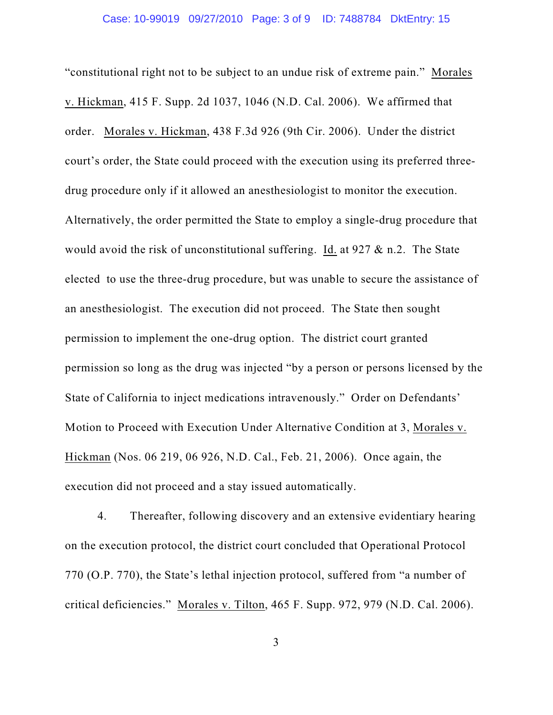"constitutional right not to be subject to an undue risk of extreme pain." Morales v. Hickman, 415 F. Supp. 2d 1037, 1046 (N.D. Cal. 2006). We affirmed that order. Morales v. Hickman, 438 F.3d 926 (9th Cir. 2006). Under the district court's order, the State could proceed with the execution using its preferred threedrug procedure only if it allowed an anesthesiologist to monitor the execution. Alternatively, the order permitted the State to employ a single-drug procedure that would avoid the risk of unconstitutional suffering. Id. at 927 & n.2. The State elected to use the three-drug procedure, but was unable to secure the assistance of an anesthesiologist. The execution did not proceed. The State then sought permission to implement the one-drug option. The district court granted permission so long as the drug was injected "by a person or persons licensed by the State of California to inject medications intravenously." Order on Defendants' Motion to Proceed with Execution Under Alternative Condition at 3, Morales v. Hickman (Nos. 06 219, 06 926, N.D. Cal., Feb. 21, 2006). Once again, the execution did not proceed and a stay issued automatically.

4. Thereafter, following discovery and an extensive evidentiary hearing on the execution protocol, the district court concluded that Operational Protocol 770 (O.P. 770), the State's lethal injection protocol, suffered from "a number of critical deficiencies." Morales v. Tilton, 465 F. Supp. 972, 979 (N.D. Cal. 2006).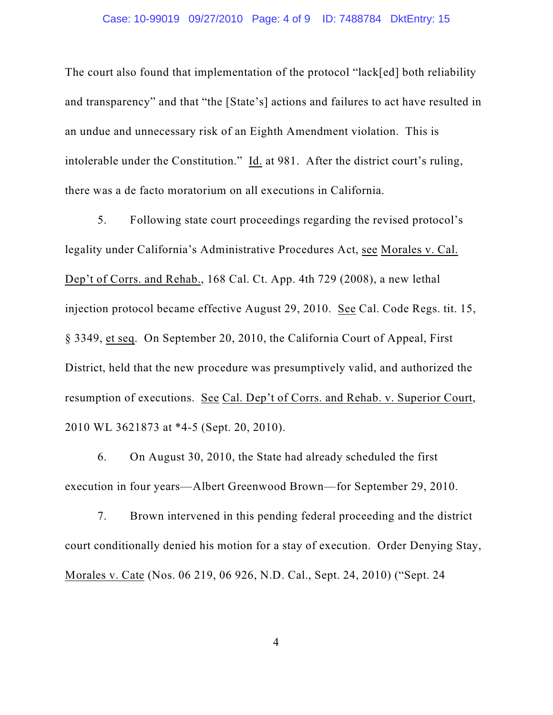## Case: 10-99019 09/27/2010 Page: 4 of 9 ID: 7488784 DktEntry: 15

The court also found that implementation of the protocol "lack[ed] both reliability and transparency" and that "the [State's] actions and failures to act have resulted in an undue and unnecessary risk of an Eighth Amendment violation. This is intolerable under the Constitution." Id. at 981. After the district court's ruling, there was a de facto moratorium on all executions in California.

5. Following state court proceedings regarding the revised protocol's legality under California's Administrative Procedures Act, see Morales v. Cal. Dep't of Corrs. and Rehab., 168 Cal. Ct. App. 4th 729 (2008), a new lethal injection protocol became effective August 29, 2010. See Cal. Code Regs. tit. 15, § 3349, et seq. On September 20, 2010, the California Court of Appeal, First District, held that the new procedure was presumptively valid, and authorized the resumption of executions. See Cal. Dep't of Corrs. and Rehab. v. Superior Court, 2010 WL 3621873 at \*4-5 (Sept. 20, 2010).

6. On August 30, 2010, the State had already scheduled the first execution in four years—Albert Greenwood Brown—for September 29, 2010.

7. Brown intervened in this pending federal proceeding and the district court conditionally denied his motion for a stay of execution. Order Denying Stay, Morales v. Cate (Nos. 06 219, 06 926, N.D. Cal., Sept. 24, 2010) ("Sept. 24

4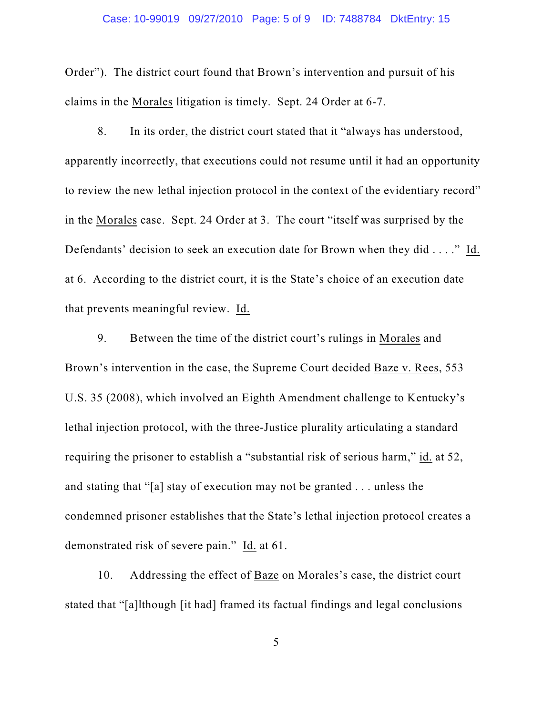#### Case: 10-99019 09/27/2010 Page: 5 of 9 ID: 7488784 DktEntry: 15

Order"). The district court found that Brown's intervention and pursuit of his claims in the Morales litigation is timely. Sept. 24 Order at 6-7.

8. In its order, the district court stated that it "always has understood, apparently incorrectly, that executions could not resume until it had an opportunity to review the new lethal injection protocol in the context of the evidentiary record" in the Morales case. Sept. 24 Order at 3. The court "itself was surprised by the Defendants' decision to seek an execution date for Brown when they did . . . ." Id. at 6. According to the district court, it is the State's choice of an execution date that prevents meaningful review. Id.

9. Between the time of the district court's rulings in Morales and Brown's intervention in the case, the Supreme Court decided Baze v. Rees, 553 U.S. 35 (2008), which involved an Eighth Amendment challenge to Kentucky's lethal injection protocol, with the three-Justice plurality articulating a standard requiring the prisoner to establish a "substantial risk of serious harm," id. at 52, and stating that "[a] stay of execution may not be granted . . . unless the condemned prisoner establishes that the State's lethal injection protocol creates a demonstrated risk of severe pain." Id. at 61.

10. Addressing the effect of Baze on Morales's case, the district court stated that "[a]lthough [it had] framed its factual findings and legal conclusions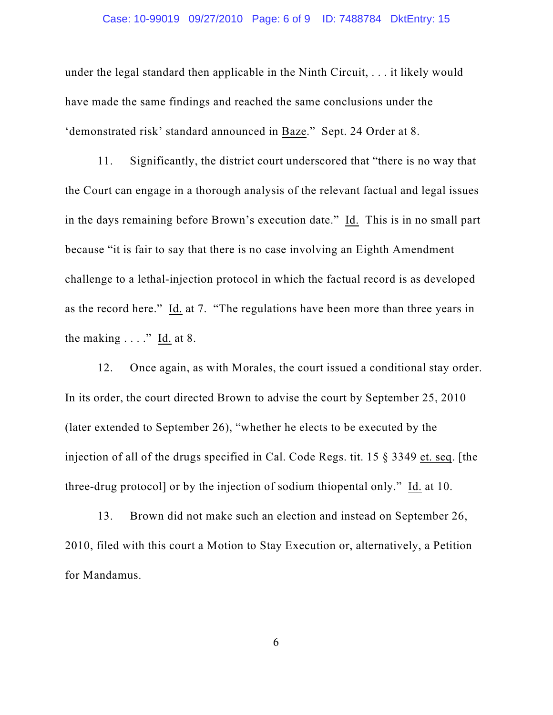#### Case: 10-99019 09/27/2010 Page: 6 of 9 ID: 7488784 DktEntry: 15

under the legal standard then applicable in the Ninth Circuit, . . . it likely would have made the same findings and reached the same conclusions under the 'demonstrated risk' standard announced in Baze." Sept. 24 Order at 8.

11. Significantly, the district court underscored that "there is no way that the Court can engage in a thorough analysis of the relevant factual and legal issues in the days remaining before Brown's execution date." Id. This is in no small part because "it is fair to say that there is no case involving an Eighth Amendment challenge to a lethal-injection protocol in which the factual record is as developed as the record here." Id. at 7. "The regulations have been more than three years in the making  $\dots$ ." Id. at 8.

12. Once again, as with Morales, the court issued a conditional stay order. In its order, the court directed Brown to advise the court by September 25, 2010 (later extended to September 26), "whether he elects to be executed by the injection of all of the drugs specified in Cal. Code Regs. tit. 15 § 3349 et. seq. [the three-drug protocol] or by the injection of sodium thiopental only." Id. at 10.

13. Brown did not make such an election and instead on September 26, 2010, filed with this court a Motion to Stay Execution or, alternatively, a Petition for Mandamus.

6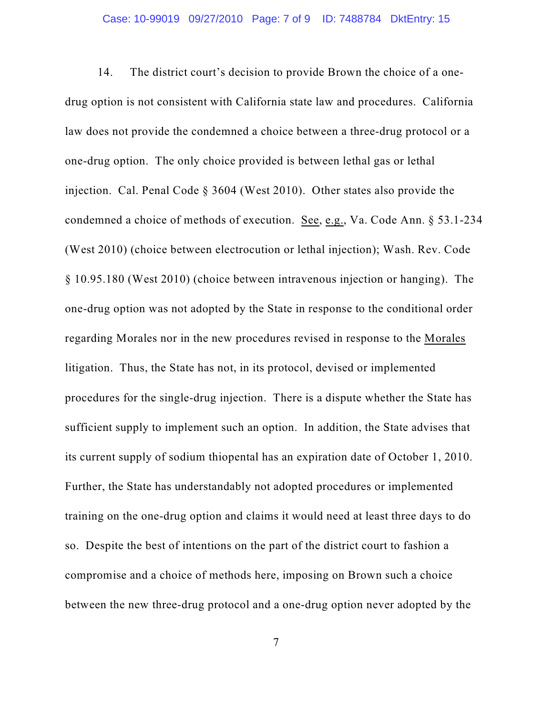14. The district court's decision to provide Brown the choice of a onedrug option is not consistent with California state law and procedures. California law does not provide the condemned a choice between a three-drug protocol or a one-drug option. The only choice provided is between lethal gas or lethal injection. Cal. Penal Code § 3604 (West 2010). Other states also provide the condemned a choice of methods of execution. See, e.g., Va. Code Ann. § 53.1-234 (West 2010) (choice between electrocution or lethal injection); Wash. Rev. Code § 10.95.180 (West 2010) (choice between intravenous injection or hanging). The one-drug option was not adopted by the State in response to the conditional order regarding Morales nor in the new procedures revised in response to the Morales litigation. Thus, the State has not, in its protocol, devised or implemented procedures for the single-drug injection. There is a dispute whether the State has sufficient supply to implement such an option. In addition, the State advises that its current supply of sodium thiopental has an expiration date of October 1, 2010. Further, the State has understandably not adopted procedures or implemented training on the one-drug option and claims it would need at least three days to do so. Despite the best of intentions on the part of the district court to fashion a compromise and a choice of methods here, imposing on Brown such a choice between the new three-drug protocol and a one-drug option never adopted by the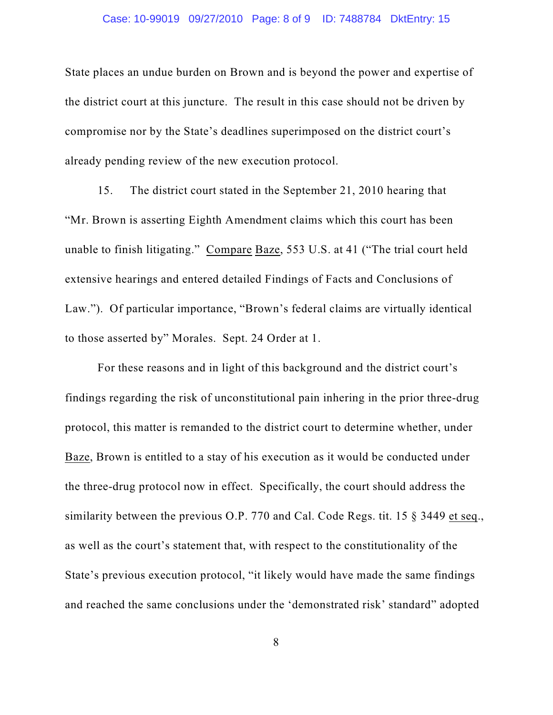### Case: 10-99019 09/27/2010 Page: 8 of 9 ID: 7488784 DktEntry: 15

State places an undue burden on Brown and is beyond the power and expertise of the district court at this juncture. The result in this case should not be driven by compromise nor by the State's deadlines superimposed on the district court's already pending review of the new execution protocol.

15. The district court stated in the September 21, 2010 hearing that "Mr. Brown is asserting Eighth Amendment claims which this court has been unable to finish litigating." Compare Baze, 553 U.S. at 41 ("The trial court held extensive hearings and entered detailed Findings of Facts and Conclusions of Law."). Of particular importance, "Brown's federal claims are virtually identical to those asserted by" Morales. Sept. 24 Order at 1.

For these reasons and in light of this background and the district court's findings regarding the risk of unconstitutional pain inhering in the prior three-drug protocol, this matter is remanded to the district court to determine whether, under Baze, Brown is entitled to a stay of his execution as it would be conducted under the three-drug protocol now in effect. Specifically, the court should address the similarity between the previous O.P. 770 and Cal. Code Regs. tit. 15 § 3449 et seq., as well as the court's statement that, with respect to the constitutionality of the State's previous execution protocol, "it likely would have made the same findings and reached the same conclusions under the 'demonstrated risk' standard" adopted